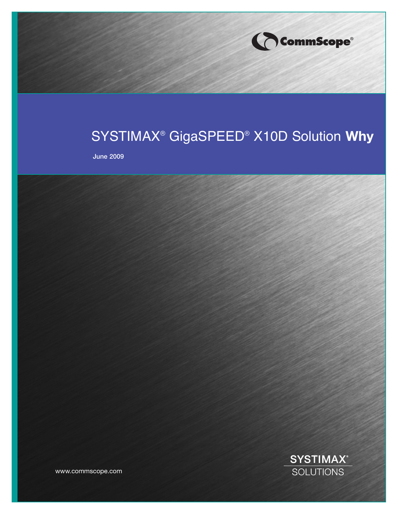

# SYSTIMAX® GigaSPEED® X10D Solution **Why**

**June 2009**

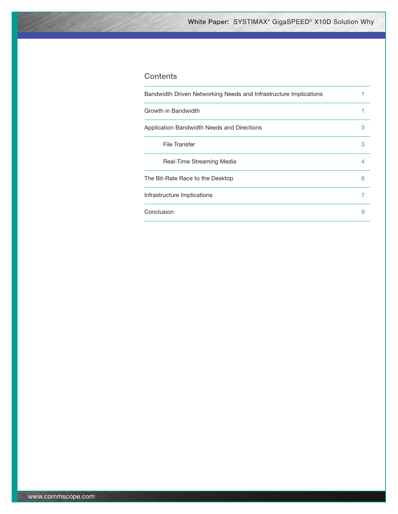## **Contents**

| Bandwidth Driven Networking Needs and Infrastructure Implications |   |
|-------------------------------------------------------------------|---|
| Growth in Bandwidth                                               |   |
| Application Bandwidth Needs and Directions                        | 3 |
| File Transfer                                                     | 3 |
| Real-Time Streaming Media                                         | 4 |
| The Bit-Rate Race to the Desktop                                  | 6 |
| Infrastructure Implications                                       |   |
| Conclusion                                                        | 9 |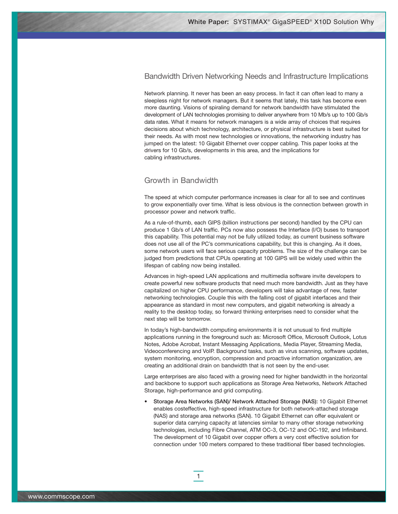## Bandwidth Driven Networking Needs and Infrastructure Implications

Network planning. It never has been an easy process. In fact it can often lead to many a sleepless night for network managers. But it seems that lately, this task has become even more daunting. Visions of spiraling demand for network bandwidth have stimulated the development of LAN technologies promising to deliver anywhere from 10 Mb/s up to 100 Gb/s data rates. What it means for network managers is a wide array of choices that requires decisions about which technology, architecture, or physical infrastructure is best suited for their needs. As with most new technologies or innovations, the networking industry has jumped on the latest: 10 Gigabit Ethernet over copper cabling. This paper looks at the drivers for 10 Gb/s, developments in this area, and the implications for cabling infrastructures.

## Growth in Bandwidth

The speed at which computer performance increases is clear for all to see and continues to grow exponentially over time. What is less obvious is the connection between growth in processor power and network traffic.

As a rule-of-thumb, each GIPS (billion instructions per second) handled by the CPU can produce 1 Gb/s of LAN traffic. PCs now also possess the Interface (I/O) buses to transport this capability. This potential may not be fully utilized today, as current business software does not use all of the PC's communications capability, but this is changing. As it does, some network users will face serious capacity problems. The size of the challenge can be judged from predictions that CPUs operating at 100 GIPS will be widely used within the lifespan of cabling now being installed.

Advances in high-speed LAN applications and multimedia software invite developers to create powerful new software products that need much more bandwidth. Just as they have capitalized on higher CPU performance, developers will take advantage of new, faster networking technologies. Couple this with the falling cost of gigabit interfaces and their appearance as standard in most new computers, and gigabit networking is already a reality to the desktop today, so forward thinking enterprises need to consider what the next step will be tomorrow.

In today's high-bandwidth computing environments it is not unusual to find multiple applications running in the foreground such as: Microsoft Office, Microsoft Outlook, Lotus Notes, Adobe Acrobat, Instant Messaging Applications, Media Player, Streaming Media, Videoconferencing and VoIP. Background tasks, such as virus scanning, software updates, system monitoring, encryption, compression and proactive information organization, are creating an additional drain on bandwidth that is not seen by the end-user.

Large enterprises are also faced with a growing need for higher bandwidth in the horizontal and backbone to support such applications as Storage Area Networks, Network Attached Storage, high-performance and grid computing.

• **Storage Area Networks (SAN)/ Network Attached Storage (NAS):** 10 Gigabit Ethernet enables costeffective, high-speed infrastructure for both network-attached storage (NAS) and storage area networks (SAN). 10 Gigabit Ethernet can offer equivalent or superior data carrying capacity at latencies similar to many other storage networking technologies, including Fibre Channel, ATM OC-3, OC-12 and OC-192, and Infiniband. The development of 10 Gigabit over copper offers a very cost effective solution for connection under 100 meters compared to these traditional fiber based technologies.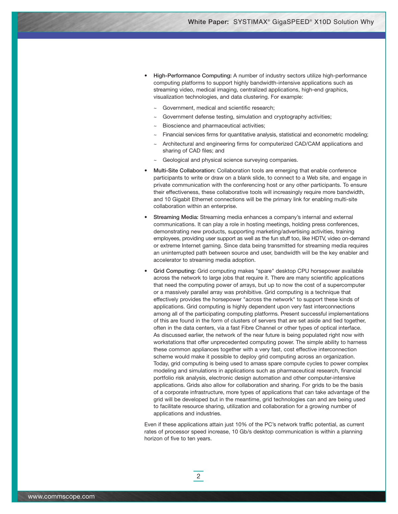- **High-Performance Computing:** A number of industry sectors utilize high-performance computing platforms to support highly bandwidth-intensive applications such as streaming video, medical imaging, centralized applications, high-end graphics, visualization technologies, and data clustering. For example:
	- Government, medical and scientific research;
	- Government defense testing, simulation and cryptography activities;
	- Bioscience and pharmaceutical activities;
	- Financial services firms for quantitative analysis, statistical and econometric modeling;
	- Architectural and engineering firms for computerized CAD/CAM applications and sharing of CAD files; and
	- Geological and physical science surveying companies.
- **Multi-Site Collaboration:** Collaboration tools are emerging that enable conference participants to write or draw on a blank slide, to connect to a Web site, and engage in private communication with the conferencing host or any other participants. To ensure their effectiveness, these collaborative tools will increasingly require more bandwidth, and 10 Gigabit Ethernet connections will be the primary link for enabling multi-site collaboration within an enterprise.
- **Streaming Media:** Streaming media enhances a company's internal and external communications. It can play a role in hosting meetings, holding press conferences, demonstrating new products, supporting marketing/advertising activities, training employees, providing user support as well as the fun stuff too, like HDTV, video on-demand or extreme Internet gaming. Since data being transmitted for streaming media requires an uninterrupted path between source and user, bandwidth will be the key enabler and accelerator to streaming media adoption.
- **Grid Computing:** Grid computing makes "spare" desktop CPU horsepower available across the network to large jobs that require it. There are many scientific applications that need the computing power of arrays, but up to now the cost of a supercomputer or a massively parallel array was prohibitive. Grid computing is a technique that effectively provides the horsepower "across the network" to support these kinds of applications. Grid computing is highly dependent upon very fast interconnections among all of the participating computing platforms. Present successful implementations of this are found in the form of clusters of servers that are set aside and tied together, often in the data centers, via a fast Fibre Channel or other types of optical interface. As discussed earlier, the network of the near future is being populated right now with workstations that offer unprecedented computing power. The simple ability to harness these common appliances together with a very fast, cost effective interconnection scheme would make it possible to deploy grid computing across an organization. Today, grid computing is being used to amass spare compute cycles to power complex modeling and simulations in applications such as pharmaceutical research, financial portfolio risk analysis, electronic design automation and other computer-intensive applications. Grids also allow for collaboration and sharing. For grids to be the basis of a corporate infrastructure, more types of applications that can take advantage of the grid will be developed but in the meantime, grid technologies can and are being used to facilitate resource sharing, utilization and collaboration for a growing number of applications and industries.

Even if these applications attain just 10% of the PC's network traffic potential, as current rates of processor speed increase, 10 Gb/s desktop communication is within a planning horizon of five to ten years.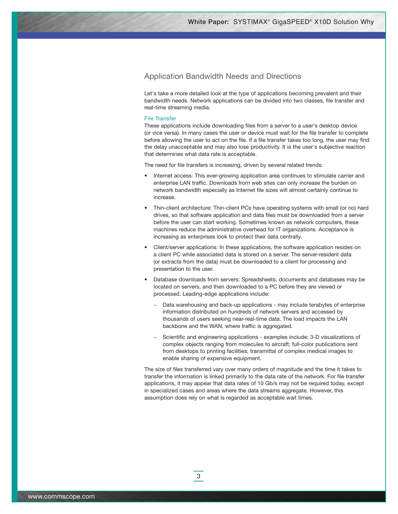## Application Bandwidth Needs and Directions

Let's take a more detailed look at the type of applications becoming prevalent and their bandwidth needs. Network applications can be divided into two classes, file transfer and real-time streaming media.

#### File Transfer

These applications include downloading files from a server to a user's desktop device (or vice versa). In many cases the user or device must wait for the file transfer to complete before allowing the user to act on the file. If a file transfer takes too long, the user may find the delay unacceptable and may also lose productivity. It is the user's subjective reaction that determines what data rate is acceptable.

The need for file transfers is increasing, driven by several related trends:

- Internet access: This ever-growing application area continues to stimulate carrier and enterprise LAN traffic. Downloads from web sites can only increase the burden on network bandwidth especially as Internet file sizes will almost certainly continue to increase.
- Thin-client architecture: Thin-client PCs have operating systems with small (or no) hard drives, so that software application and data files must be downloaded from a server before the user can start working. Sometimes known as network computers, these machines reduce the administrative overhead for IT organizations. Acceptance is increasing as enterprises look to protect their data centrally.
- Client/server applications: In these applications, the software application resides on a client PC while associated data is stored on a server. The server-resident data (or extracts from the data) must be downloaded to a client for processing and presentation to the user.
- Database downloads from servers: Spreadsheets, documents and databases may be located on servers, and then downloaded to a PC before they are viewed or processed. Leading-edge applications include:
	- Data warehousing and back-up applications may include terabytes of enterprise information distributed on hundreds of network servers and accessed by thousands of users seeking near-real-time data. The load impacts the LAN backbone and the WAN, where traffic is aggregated.
	- Scientific and engineering applications examples include: 3-D visualizations of complex objects ranging from molecules to aircraft; full-color publications sent from desktops to printing facilities; transmittal of complex medical images to enable sharing of expensive equipment.

The size of files transferred vary over many orders of magnitude and the time it takes to transfer the information is linked primarily to the data rate of the network. For file transfer applications, it may appear that data rates of 10 Gb/s may not be required today, except in specialized cases and areas where the data streams aggregate. However, this assumption does rely on what is regarded as acceptable wait times.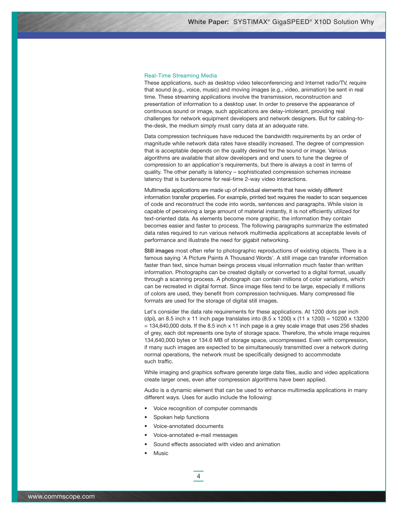#### Real-Time Streaming Media

These applications, such as desktop video teleconferencing and Internet radio/TV, require that sound (e.g., voice, music) and moving images (e.g., video, animation) be sent in real time. These streaming applications involve the transmission, reconstruction and presentation of information to a desktop user. In order to preserve the appearance of continuous sound or image, such applications are delay-intolerant, providing real challenges for network equipment developers and network designers. But for cabling-tothe-desk, the medium simply must carry data at an adequate rate.

Data compression techniques have reduced the bandwidth requirements by an order of magnitude while network data rates have steadily increased. The degree of compression that is acceptable depends on the quality desired for the sound or image. Various algorithms are available that allow developers and end users to tune the degree of compression to an application's requirements, but there is always a cost in terms of quality. The other penalty is latency – sophisticated compression schemes increase latency that is burdensome for real-time 2-way video interactions.

Multimedia applications are made up of individual elements that have widely different information transfer properties. For example, printed text requires the reader to scan sequences of code and reconstruct the code into words, sentences and paragraphs. While vision is capable of perceiving a large amount of material instantly, it is not efficiently utilized for text-oriented data. As elements become more graphic, the information they contain becomes easier and faster to process. The following paragraphs summarize the estimated data rates required to run various network multimedia applications at acceptable levels of performance and illustrate the need for gigabit networking.

**Still images** most often refer to photographic reproductions of existing objects. There is a famous saying 'A Picture Paints A Thousand Words'. A still image can transfer information faster than text, since human beings process visual information much faster than written information. Photographs can be created digitally or converted to a digital format, usually through a scanning process. A photograph can contain millions of color variations, which can be recreated in digital format. Since image files tend to be large, especially if millions of colors are used, they benefit from compression techniques. Many compressed file formats are used for the storage of digital still images.

Let's consider the data rate requirements for these applications. At 1200 dots per inch (dpi), an 8.5 inch x 11 inch page translates into  $(8.5 \times 1200) \times (11 \times 1200) = 10200 \times 13200$  $= 134,640,000$  dots. If the 8.5 inch x 11 inch page is a grey scale image that uses 256 shades of grey, each dot represents one byte of storage space. Therefore, the whole image requires 134,640,000 bytes or 134.6 MB of storage space, uncompressed. Even with compression, if many such images are expected to be simultaneously transmitted over a network during normal operations, the network must be specifically designed to accommodate such traffic.

While imaging and graphics software generate large data files, audio and video applications create larger ones, even after compression algorithms have been applied.

Audio is a dynamic element that can be used to enhance multimedia applications in many different ways. Uses for audio include the following:

Voice recognition of computer commands

- Spoken help functions
- Voice-annotated documents
- Voice-annotated e-mail messages
- Sound effects associated with video and animation
- **Music**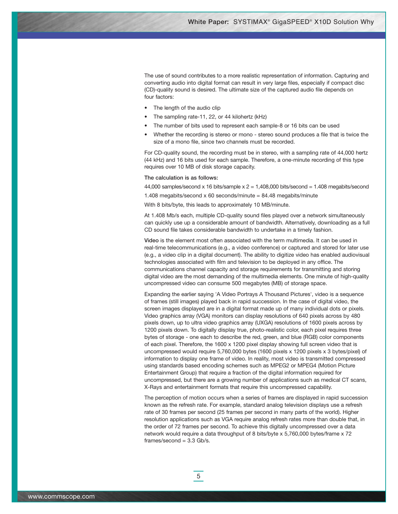The use of sound contributes to a more realistic representation of information. Capturing and converting audio into digital format can result in very large files, especially if compact disc (CD)-quality sound is desired. The ultimate size of the captured audio file depends on four factors:

- The length of the audio clip
- The sampling rate-11, 22, or 44 kilohertz (kHz)
- The number of bits used to represent each sample-8 or 16 bits can be used
- Whether the recording is stereo or mono stereo sound produces a file that is twice the size of a mono file, since two channels must be recorded.

For CD-quality sound, the recording must be in stereo, with a sampling rate of 44,000 hertz (44 kHz) and 16 bits used for each sample. Therefore, a one-minute recording of this type requires over 10 MB of disk storage capacity.

#### **The calculation is as follows:**

44,000 samples/second x 16 bits/sample  $x = 1,408,000$  bits/second = 1.408 megabits/second

1.408 megabits/second x 60 seconds/minute = 84.48 megabits/minute

With 8 bits/byte, this leads to approximately 10 MB/minute.

At 1.408 Mb/s each, multiple CD-quality sound files played over a network simultaneously can quickly use up a considerable amount of bandwidth. Alternatively, downloading as a full CD sound file takes considerable bandwidth to undertake in a timely fashion.

**Video** is the element most often associated with the term multimedia. It can be used in real-time telecommunications (e.g., a video conference) or captured and stored for later use (e.g., a video clip in a digital document). The ability to digitize video has enabled audiovisual technologies associated with film and television to be deployed in any office. The communications channel capacity and storage requirements for transmitting and storing digital video are the most demanding of the multimedia elements. One minute of high-quality uncompressed video can consume 500 megabytes (MB) of storage space.

Expanding the earlier saying 'A Video Portrays A Thousand Pictures', video is a sequence of frames (still images) played back in rapid succession. In the case of digital video, the screen images displayed are in a digital format made up of many individual dots or pixels. Video graphics array (VGA) monitors can display resolutions of 640 pixels across by 480 pixels down, up to ultra video graphics array (UXGA) resolutions of 1600 pixels across by 1200 pixels down. To digitally display true, photo-realistic color, each pixel requires three bytes of storage - one each to describe the red, green, and blue (RGB) color components of each pixel. Therefore, the 1600 x 1200 pixel display showing full screen video that is uncompressed would require 5,760,000 bytes (1600 pixels x 1200 pixels x 3 bytes/pixel) of information to display one frame of video. In reality, most video is transmitted compressed using standards based encoding schemes such as MPEG2 or MPEG4 (Motion Picture Entertainment Group) that require a fraction of the digital information required for uncompressed, but there are a growing number of applications such as medical CT scans, X-Rays and entertainment formats that require this uncompressed capability.

The perception of motion occurs when a series of frames are displayed in rapid succession known as the refresh rate. For example, standard analog television displays use a refresh rate of 30 frames per second (25 frames per second in many parts of the world). Higher resolution applications such as VGA require analog refresh rates more than double that, in the order of 72 frames per second. To achieve this digitally uncompressed over a data network would require a data throughput of 8 bits/byte x 5,760,000 bytes/frame x 72  $frames/second = 3.3$  Gb/s.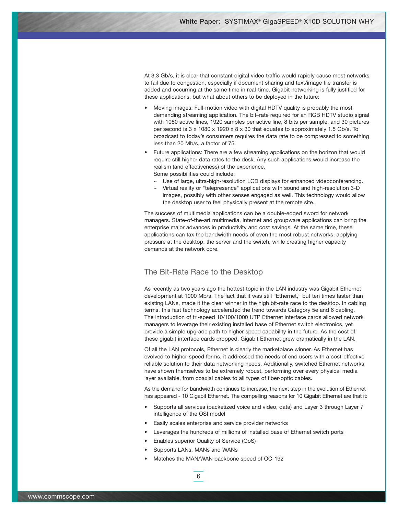At 3.3 Gb/s, it is clear that constant digital video traffic would rapidly cause most networks to fail due to congestion, especially if document sharing and text/image file transfer is added and occurring at the same time in real-time. Gigabit networking is fully justified for these applications, but what about others to be deployed in the future:

- Moving images: Full-motion video with digital HDTV quality is probably the most demanding streaming application. The bit–rate required for an RGB HDTV studio signal with 1080 active lines, 1920 samples per active line, 8 bits per sample, and 30 pictures per second is 3 x 1080 x 1920 x 8 x 30 that equates to approximately 1.5 Gb/s. To broadcast to today's consumers requires the data rate to be compressed to something less than 20 Mb/s, a factor of 75.
- Future applications: There are a few streaming applications on the horizon that would require still higher data rates to the desk. Any such applications would increase the realism (and effectiveness) of the experience. Some possibilities could include:
	- $\sim$  Use of large, ultra-high-resolution LCD displays for enhanced videoconferencing.
	- Virtual reality or "telepresence" applications with sound and high-resolution 3-D images, possibly with other senses engaged as well. This technology would allow the desktop user to feel physically present at the remote site.

The success of multimedia applications can be a double-edged sword for network managers. State-of-the-art multimedia, Internet and groupware applications can bring the enterprise major advances in productivity and cost savings. At the same time, these applications can tax the bandwidth needs of even the most robust networks, applying pressure at the desktop, the server and the switch, while creating higher capacity demands at the network core.

## The Bit-Rate Race to the Desktop

As recently as two years ago the hottest topic in the LAN industry was Gigabit Ethernet development at 1000 Mb/s. The fact that it was still "Ethernet," but ten times faster than existing LANs, made it the clear winner in the high bit-rate race to the desktop. In cabling terms, this fast technology accelerated the trend towards Category 5e and 6 cabling. The introduction of tri-speed 10/100/1000 UTP Ethernet interface cards allowed network managers to leverage their existing installed base of Ethernet switch electronics, yet provide a simple upgrade path to higher speed capability in the future. As the cost of these gigabit interface cards dropped, Gigabit Ethernet grew dramatically in the LAN.

Of all the LAN protocols, Ethernet is clearly the marketplace winner. As Ethernet has evolved to higher-speed forms, it addressed the needs of end users with a cost-effective reliable solution to their data networking needs. Additionally, switched Ethernet networks have shown themselves to be extremely robust, performing over every physical media layer available, from coaxial cables to all types of fiber-optic cables.

As the demand for bandwidth continues to increase, the next step in the evolution of Ethernet has appeared - 10 Gigabit Ethernet. The compelling reasons for 10 Gigabit Ethernet are that it:

- Supports all services (packetized voice and video, data) and Layer 3 through Layer 7 intelligence of the OSI model
- Easily scales enterprise and service provider networks
- Leverages the hundreds of millions of installed base of Ethernet switch ports
- Enables superior Quality of Service (QoS)
- Supports LANs, MANs and WANs
- Matches the MAN/WAN backbone speed of OC-192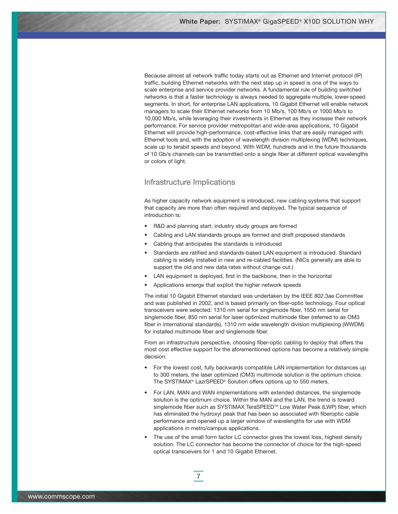Because almost all network traffic today starts out as Ethernet and Internet protocol (IP) traffic, building Ethernet networks with the next step up in speed is one of the ways to scale enterprise and service provider networks. A fundamental rule of building switched networks is that a faster technology is always needed to aggregate multiple, lower-speed segments. In short, for enterprise LAN applications, 10 Gigabit Ethernet will enable network managers to scale their Ethernet networks from 10 Mb/s, 100 Mb/s or 1000 Mb/s to 10,000 Mb/s, while leveraging their investments in Ethernet as they increase their network performance. For service provider metropolitan and wide-area applications, 10 Gigabit Ethernet will provide high-performance, cost-effective links that are easily managed with Ethernet tools and, with the adoption of wavelength division multiplexing (WDM) techniques, scale up to terabit speeds and beyond. With WDM, hundreds and in the future thousands of 10 Gb/s channels can be transmitted onto a single fiber at different optical wavelengths or colors of light.

## Infrastructure Implications

As higher capacity network equipment is introduced, new cabling systems that support that capacity are more than often required and deployed. The typical sequence of introduction is:

- R&D and planning start; industry study groups are formed
- Cabling and LAN standards groups are formed and draft proposed standards
- Cabling that anticipates the standards is introduced

7

- Standards are ratified and standards-based LAN equipment is introduced. Standard cabling is widely installed in new and re-cabled facilities. (NICs generally are able to support the old and new data rates without change out.)
- LAN equipment is deployed, first in the backbone, then in the horizontal
- Applications emerge that exploit the higher network speeds

The initial 10 Gigabit Ethernet standard was undertaken by the IEEE 802.3ae Committee and was published in 2002, and is based primarily on fiber-optic technology. Four optical transceivers were selected: 1310 nm serial for singlemode fiber, 1550 nm serial for singlemode fiber, 850 nm serial for laser optimized multimode fiber (referred to as OM3 fiber in international standards), 1310 nm wide wavelength division multiplexing (WWDM) for installed multimode fiber and singlemode fiber.

From an infrastructure perspective, choosing fiber-optic cabling to deploy that offers the most cost effective support for the aforementioned options has become a relatively simple decision:

- For the lowest cost, fully backwards compatible LAN implementation for distances up to 300 meters, the laser optimized (OM3) multimode solution is the optimum choice. The SYSTIMAX® LazrSPEED® Solution offers options up to 550 meters.
- For LAN, MAN and WAN implementations with extended distances, the singlemode solution is the optimum choice. Within the MAN and the LAN, the trend is toward singlemode fiber such as SYSTIMAX TeraSPEED™ Low Water Peak (LWP) fiber, which has eliminated the hydroxyl peak that has been so associated with fiberoptic cable performance and opened up a larger window of wavelengths for use with WDM applications in metro/campus applications.
- The use of the small form factor LC connector gives the lowest loss, highest density solution. The LC connector has become the connector of choice for the high-speed optical transceivers for 1 and 10 Gigabit Ethernet.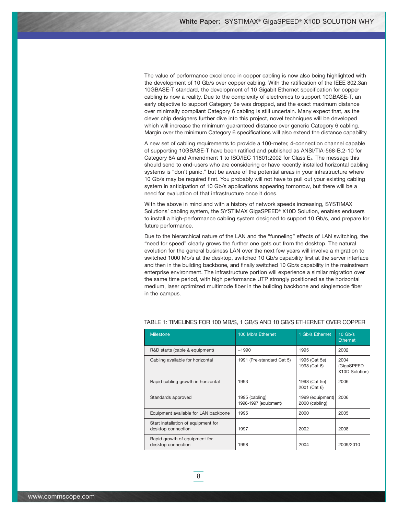The value of performance excellence in copper cabling is now also being highlighted with the development of 10 Gb/s over copper cabling. With the ratification of the IEEE 802.3an 10GBASE-T standard, the development of 10 Gigabit Ethernet specification for copper cabling is now a reality. Due to the complexity of electronics to support 10GBASE-T, an early objective to support Category 5e was dropped, and the exact maximum distance over minimally compliant Category 6 cabling is still uncertain. Many expect that, as the clever chip designers further dive into this project, novel techniques will be developed which will increase the minimum guaranteed distance over generic Category 6 cabling. Margin over the minimum Category 6 specifications will also extend the distance capability.

A new set of cabling requirements to provide a 100-meter, 4-connection channel capable of supporting 10GBASE-T have been ratified and published as ANSI/TIA-568-B.2-10 for Category 6A and Amendment 1 to  $ISO/IEC$  11801:2002 for Class  $E<sub>A</sub>$ . The message this should send to end-users who are considering or have recently installed horizontal cabling systems is "don't panic," but be aware of the potential areas in your infrastructure where 10 Gb/s may be required first. You probably will not have to pull out your existing cabling system in anticipation of 10 Gb/s applications appearing tomorrow, but there will be a need for evaluation of that infrastructure once it does.

With the above in mind and with a history of network speeds increasing, SYSTIMAX Solutions' cabling system, the SYSTIMAX GigaSPEED® X10D Solution, enables endusers to install a high-performance cabling system designed to support 10 Gb/s, and prepare for future performance.

Due to the hierarchical nature of the LAN and the "funneling" effects of LAN switching, the "need for speed" clearly grows the further one gets out from the desktop. The natural evolution for the general business LAN over the next few years will involve a migration to switched 1000 Mb/s at the desktop, switched 10 Gb/s capability first at the server interface and then in the building backbone, and finally switched 10 Gb/s capability in the mainstream enterprise environment. The infrastructure portion will experience a similar migration over the same time period, with high performance UTP strongly positioned as the horizontal medium, laser optimized multimode fiber in the building backbone and singlemode fiber in the campus.

| <b>Milestone</b>                                          | 100 Mb/s Ethernet                       | 1 Gb/s Ethernet                    | $10$ Gb/s<br><b>Ethernet</b>         |
|-----------------------------------------------------------|-----------------------------------------|------------------------------------|--------------------------------------|
| R&D starts (cable & equipment)                            | ~1990                                   | 1995                               | 2002                                 |
| Cabling available for horizontal                          | 1991 (Pre-standard Cat 5)               | 1995 (Cat 5e)<br>1998 (Cat 6)      | 2004<br>(GigaSPEED<br>X10D Solution) |
| Rapid cabling growth in horizontal                        | 1993                                    | 1998 (Cat 5e)<br>2001 (Cat 6)      | 2006                                 |
| Standards approved                                        | 1995 (cabling)<br>1996-1997 (equipment) | 1999 (equipment)<br>2000 (cabling) | 2006                                 |
| Equipment available for LAN backbone                      | 1995                                    | 2000                               | 2005                                 |
| Start installation of equipment for<br>desktop connection | 1997                                    | 2002                               | 2008                                 |
| Rapid growth of equipment for<br>desktop connection       | 1998                                    | 2004                               | 2009/2010                            |

### TABLE 1: TIMELINES FOR 100 MB/S, 1 GB/S AND 10 GB/S ETHERNET OVER COPPER